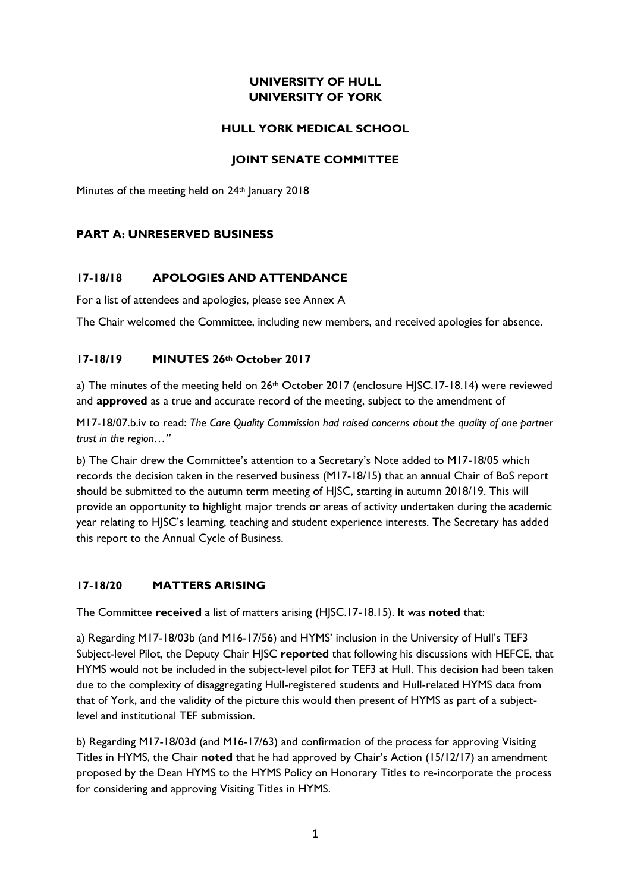# **UNIVERSITY OF HULL UNIVERSITY OF YORK**

## **HULL YORK MEDICAL SCHOOL**

### **JOINT SENATE COMMITTEE**

Minutes of the meeting held on 24<sup>th</sup> January 2018

## **PART A: UNRESERVED BUSINESS**

## **17-18/18 APOLOGIES AND ATTENDANCE**

For a list of attendees and apologies, please see Annex A

The Chair welcomed the Committee, including new members, and received apologies for absence.

## **17-18/19 MINUTES 26th October 2017**

a) The minutes of the meeting held on 26<sup>th</sup> October 2017 (enclosure HJSC.17-18.14) were reviewed and **approved** as a true and accurate record of the meeting, subject to the amendment of

M17-18/07.b.iv to read: *The Care Quality Commission had raised concerns about the quality of one partner trust in the region…"*

b) The Chair drew the Committee's attention to a Secretary's Note added to M17-18/05 which records the decision taken in the reserved business (M17-18/15) that an annual Chair of BoS report should be submitted to the autumn term meeting of HJSC, starting in autumn 2018/19. This will provide an opportunity to highlight major trends or areas of activity undertaken during the academic year relating to HJSC's learning, teaching and student experience interests. The Secretary has added this report to the Annual Cycle of Business.

### **17-18/20 MATTERS ARISING**

The Committee **received** a list of matters arising (HJSC.17-18.15). It was **noted** that:

a) Regarding M17-18/03b (and M16-17/56) and HYMS' inclusion in the University of Hull's TEF3 Subject-level Pilot, the Deputy Chair HJSC **reported** that following his discussions with HEFCE, that HYMS would not be included in the subject-level pilot for TEF3 at Hull. This decision had been taken due to the complexity of disaggregating Hull-registered students and Hull-related HYMS data from that of York, and the validity of the picture this would then present of HYMS as part of a subjectlevel and institutional TEF submission.

b) Regarding M17-18/03d (and M16-17/63) and confirmation of the process for approving Visiting Titles in HYMS, the Chair **noted** that he had approved by Chair's Action (15/12/17) an amendment proposed by the Dean HYMS to the HYMS Policy on Honorary Titles to re-incorporate the process for considering and approving Visiting Titles in HYMS.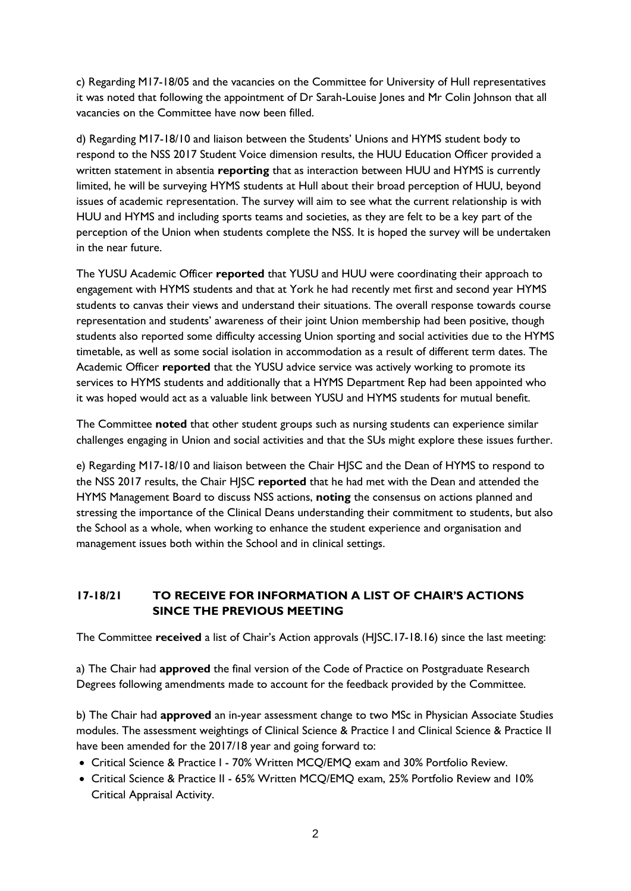c) Regarding M17-18/05 and the vacancies on the Committee for University of Hull representatives it was noted that following the appointment of Dr Sarah-Louise Jones and Mr Colin Johnson that all vacancies on the Committee have now been filled.

d) Regarding M17-18/10 and liaison between the Students' Unions and HYMS student body to respond to the NSS 2017 Student Voice dimension results, the HUU Education Officer provided a written statement in absentia **reporting** that as interaction between HUU and HYMS is currently limited, he will be surveying HYMS students at Hull about their broad perception of HUU, beyond issues of academic representation. The survey will aim to see what the current relationship is with HUU and HYMS and including sports teams and societies, as they are felt to be a key part of the perception of the Union when students complete the NSS. It is hoped the survey will be undertaken in the near future.

The YUSU Academic Officer **reported** that YUSU and HUU were coordinating their approach to engagement with HYMS students and that at York he had recently met first and second year HYMS students to canvas their views and understand their situations. The overall response towards course representation and students' awareness of their joint Union membership had been positive, though students also reported some difficulty accessing Union sporting and social activities due to the HYMS timetable, as well as some social isolation in accommodation as a result of different term dates. The Academic Officer **reported** that the YUSU advice service was actively working to promote its services to HYMS students and additionally that a HYMS Department Rep had been appointed who it was hoped would act as a valuable link between YUSU and HYMS students for mutual benefit.

The Committee **noted** that other student groups such as nursing students can experience similar challenges engaging in Union and social activities and that the SUs might explore these issues further.

e) Regarding M17-18/10 and liaison between the Chair HJSC and the Dean of HYMS to respond to the NSS 2017 results, the Chair HJSC **reported** that he had met with the Dean and attended the HYMS Management Board to discuss NSS actions, **noting** the consensus on actions planned and stressing the importance of the Clinical Deans understanding their commitment to students, but also the School as a whole, when working to enhance the student experience and organisation and management issues both within the School and in clinical settings.

# **17-18/21 TO RECEIVE FOR INFORMATION A LIST OF CHAIR'S ACTIONS SINCE THE PREVIOUS MEETING**

The Committee **received** a list of Chair's Action approvals (HJSC.17-18.16) since the last meeting:

a) The Chair had **approved** the final version of the Code of Practice on Postgraduate Research Degrees following amendments made to account for the feedback provided by the Committee.

b) The Chair had **approved** an in-year assessment change to two MSc in Physician Associate Studies modules. The assessment weightings of Clinical Science & Practice I and Clinical Science & Practice II have been amended for the 2017/18 year and going forward to:

- Critical Science & Practice I 70% Written MCQ/EMQ exam and 30% Portfolio Review.
- Critical Science & Practice II 65% Written MCQ/EMQ exam, 25% Portfolio Review and 10% Critical Appraisal Activity.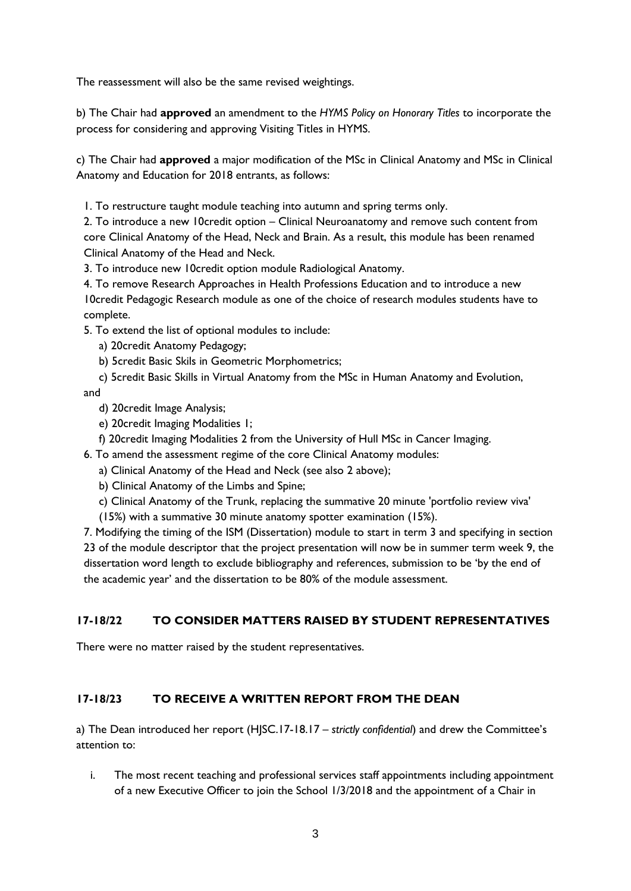The reassessment will also be the same revised weightings.

b) The Chair had **approved** an amendment to the *HYMS Policy on Honorary Titles* to incorporate the process for considering and approving Visiting Titles in HYMS.

c) The Chair had **approved** a major modification of the MSc in Clinical Anatomy and MSc in Clinical Anatomy and Education for 2018 entrants, as follows:

1. To restructure taught module teaching into autumn and spring terms only.

2. To introduce a new 10credit option – Clinical Neuroanatomy and remove such content from core Clinical Anatomy of the Head, Neck and Brain. As a result, this module has been renamed Clinical Anatomy of the Head and Neck.

3. To introduce new 10credit option module Radiological Anatomy.

4. To remove Research Approaches in Health Professions Education and to introduce a new 10credit Pedagogic Research module as one of the choice of research modules students have to complete.

- 5. To extend the list of optional modules to include:
	- a) 20credit Anatomy Pedagogy;
	- b) 5credit Basic Skils in Geometric Morphometrics;

c) 5credit Basic Skills in Virtual Anatomy from the MSc in Human Anatomy and Evolution, and

- d) 20credit Image Analysis;
- e) 20credit Imaging Modalities 1;
- f) 20credit Imaging Modalities 2 from the University of Hull MSc in Cancer Imaging.
- 6. To amend the assessment regime of the core Clinical Anatomy modules:
	- a) Clinical Anatomy of the Head and Neck (see also 2 above);
	- b) Clinical Anatomy of the Limbs and Spine;
	- c) Clinical Anatomy of the Trunk, replacing the summative 20 minute 'portfolio review viva'
	- (15%) with a summative 30 minute anatomy spotter examination (15%).

7. Modifying the timing of the ISM (Dissertation) module to start in term 3 and specifying in section 23 of the module descriptor that the project presentation will now be in summer term week 9, the dissertation word length to exclude bibliography and references, submission to be 'by the end of the academic year' and the dissertation to be 80% of the module assessment.

# **17-18/22 TO CONSIDER MATTERS RAISED BY STUDENT REPRESENTATIVES**

There were no matter raised by the student representatives.

# **17-18/23 TO RECEIVE A WRITTEN REPORT FROM THE DEAN**

a) The Dean introduced her report (HJSC.17-18.17 *– strictly confidential*) and drew the Committee's attention to:

i. The most recent teaching and professional services staff appointments including appointment of a new Executive Officer to join the School 1/3/2018 and the appointment of a Chair in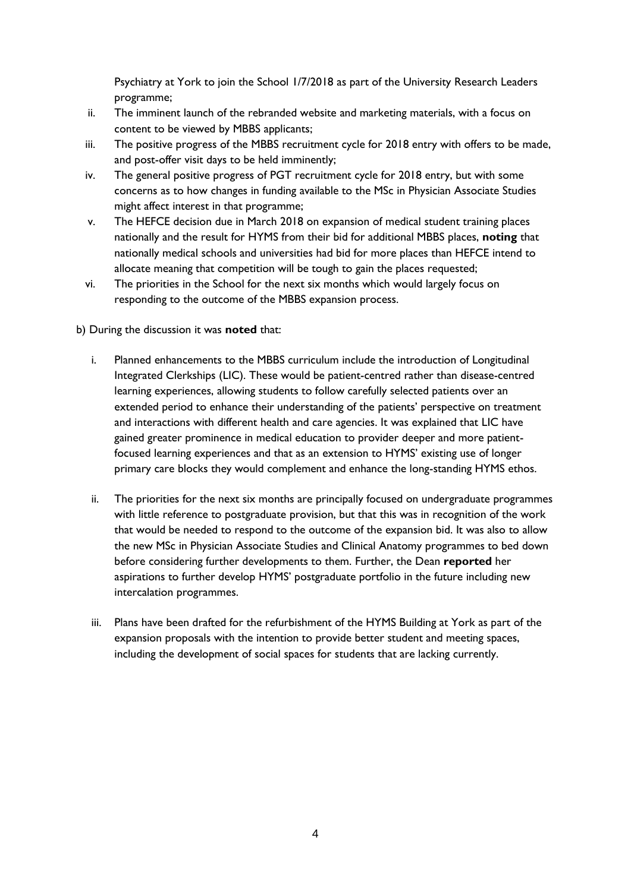Psychiatry at York to join the School 1/7/2018 as part of the University Research Leaders programme;

- ii. The imminent launch of the rebranded website and marketing materials, with a focus on content to be viewed by MBBS applicants;
- iii. The positive progress of the MBBS recruitment cycle for 2018 entry with offers to be made, and post-offer visit days to be held imminently;
- iv. The general positive progress of PGT recruitment cycle for 2018 entry, but with some concerns as to how changes in funding available to the MSc in Physician Associate Studies might affect interest in that programme;
- v. The HEFCE decision due in March 2018 on expansion of medical student training places nationally and the result for HYMS from their bid for additional MBBS places, **noting** that nationally medical schools and universities had bid for more places than HEFCE intend to allocate meaning that competition will be tough to gain the places requested;
- vi. The priorities in the School for the next six months which would largely focus on responding to the outcome of the MBBS expansion process.

b) During the discussion it was **noted** that:

- i. Planned enhancements to the MBBS curriculum include the introduction of Longitudinal Integrated Clerkships (LIC). These would be patient-centred rather than disease-centred learning experiences, allowing students to follow carefully selected patients over an extended period to enhance their understanding of the patients' perspective on treatment and interactions with different health and care agencies. It was explained that LIC have gained greater prominence in medical education to provider deeper and more patientfocused learning experiences and that as an extension to HYMS' existing use of longer primary care blocks they would complement and enhance the long-standing HYMS ethos.
- ii. The priorities for the next six months are principally focused on undergraduate programmes with little reference to postgraduate provision, but that this was in recognition of the work that would be needed to respond to the outcome of the expansion bid. It was also to allow the new MSc in Physician Associate Studies and Clinical Anatomy programmes to bed down before considering further developments to them. Further, the Dean **reported** her aspirations to further develop HYMS' postgraduate portfolio in the future including new intercalation programmes.
- iii. Plans have been drafted for the refurbishment of the HYMS Building at York as part of the expansion proposals with the intention to provide better student and meeting spaces, including the development of social spaces for students that are lacking currently.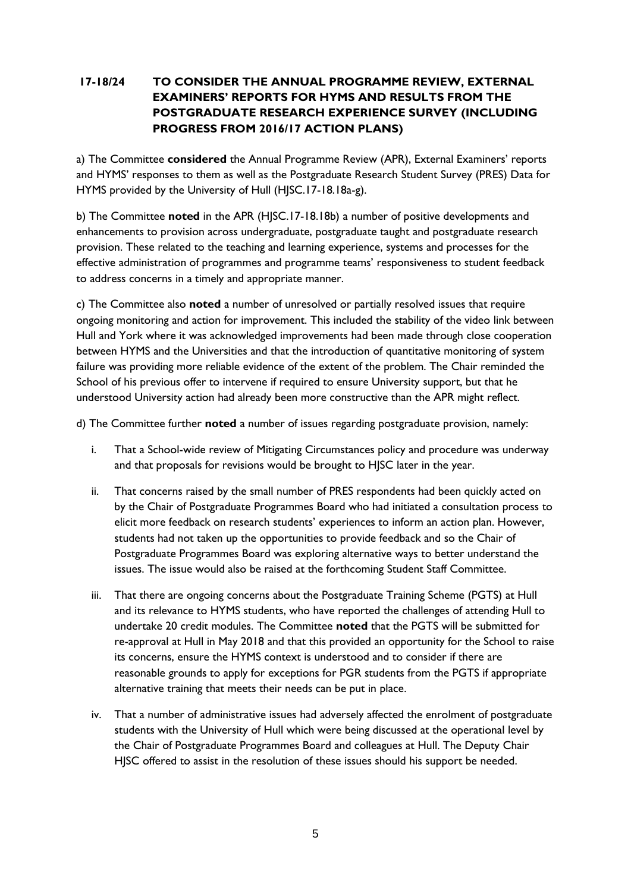# **17-18/24 TO CONSIDER THE ANNUAL PROGRAMME REVIEW, EXTERNAL EXAMINERS' REPORTS FOR HYMS AND RESULTS FROM THE POSTGRADUATE RESEARCH EXPERIENCE SURVEY (INCLUDING PROGRESS FROM 2016/17 ACTION PLANS)**

a) The Committee **considered** the Annual Programme Review (APR), External Examiners' reports and HYMS' responses to them as well as the Postgraduate Research Student Survey (PRES) Data for HYMS provided by the University of Hull (HJSC.17-18.18a-g).

b) The Committee **noted** in the APR (HJSC.17-18.18b) a number of positive developments and enhancements to provision across undergraduate, postgraduate taught and postgraduate research provision. These related to the teaching and learning experience, systems and processes for the effective administration of programmes and programme teams' responsiveness to student feedback to address concerns in a timely and appropriate manner.

c) The Committee also **noted** a number of unresolved or partially resolved issues that require ongoing monitoring and action for improvement. This included the stability of the video link between Hull and York where it was acknowledged improvements had been made through close cooperation between HYMS and the Universities and that the introduction of quantitative monitoring of system failure was providing more reliable evidence of the extent of the problem. The Chair reminded the School of his previous offer to intervene if required to ensure University support, but that he understood University action had already been more constructive than the APR might reflect.

d) The Committee further **noted** a number of issues regarding postgraduate provision, namely:

- i. That a School-wide review of Mitigating Circumstances policy and procedure was underway and that proposals for revisions would be brought to HJSC later in the year.
- ii. That concerns raised by the small number of PRES respondents had been quickly acted on by the Chair of Postgraduate Programmes Board who had initiated a consultation process to elicit more feedback on research students' experiences to inform an action plan. However, students had not taken up the opportunities to provide feedback and so the Chair of Postgraduate Programmes Board was exploring alternative ways to better understand the issues. The issue would also be raised at the forthcoming Student Staff Committee.
- iii. That there are ongoing concerns about the Postgraduate Training Scheme (PGTS) at Hull and its relevance to HYMS students, who have reported the challenges of attending Hull to undertake 20 credit modules. The Committee **noted** that the PGTS will be submitted for re-approval at Hull in May 2018 and that this provided an opportunity for the School to raise its concerns, ensure the HYMS context is understood and to consider if there are reasonable grounds to apply for exceptions for PGR students from the PGTS if appropriate alternative training that meets their needs can be put in place.
- iv. That a number of administrative issues had adversely affected the enrolment of postgraduate students with the University of Hull which were being discussed at the operational level by the Chair of Postgraduate Programmes Board and colleagues at Hull. The Deputy Chair HJSC offered to assist in the resolution of these issues should his support be needed.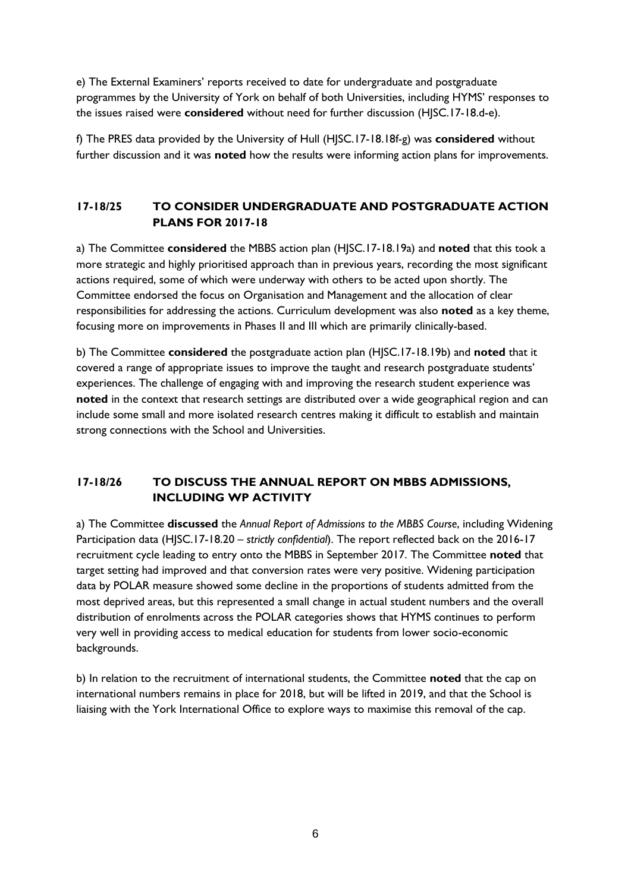e) The External Examiners' reports received to date for undergraduate and postgraduate programmes by the University of York on behalf of both Universities, including HYMS' responses to the issues raised were **considered** without need for further discussion (HJSC.17-18.d-e).

f) The PRES data provided by the University of Hull (HJSC.17-18.18f-g) was **considered** without further discussion and it was **noted** how the results were informing action plans for improvements.

# **17-18/25 TO CONSIDER UNDERGRADUATE AND POSTGRADUATE ACTION PLANS FOR 2017-18**

a) The Committee **considered** the MBBS action plan (HJSC.17-18.19a) and **noted** that this took a more strategic and highly prioritised approach than in previous years, recording the most significant actions required, some of which were underway with others to be acted upon shortly. The Committee endorsed the focus on Organisation and Management and the allocation of clear responsibilities for addressing the actions. Curriculum development was also **noted** as a key theme, focusing more on improvements in Phases II and III which are primarily clinically-based.

b) The Committee **considered** the postgraduate action plan (HJSC.17-18.19b) and **noted** that it covered a range of appropriate issues to improve the taught and research postgraduate students' experiences. The challenge of engaging with and improving the research student experience was **noted** in the context that research settings are distributed over a wide geographical region and can include some small and more isolated research centres making it difficult to establish and maintain strong connections with the School and Universities.

# **17-18/26 TO DISCUSS THE ANNUAL REPORT ON MBBS ADMISSIONS, INCLUDING WP ACTIVITY**

a) The Committee **discussed** the *Annual Report of Admissions to the MBBS Course*, including Widening Participation data (HJSC.17-18.20 *– strictly confidential*). The report reflected back on the 2016-17 recruitment cycle leading to entry onto the MBBS in September 2017. The Committee **noted** that target setting had improved and that conversion rates were very positive. Widening participation data by POLAR measure showed some decline in the proportions of students admitted from the most deprived areas, but this represented a small change in actual student numbers and the overall distribution of enrolments across the POLAR categories shows that HYMS continues to perform very well in providing access to medical education for students from lower socio-economic backgrounds.

b) In relation to the recruitment of international students, the Committee **noted** that the cap on international numbers remains in place for 2018, but will be lifted in 2019, and that the School is liaising with the York International Office to explore ways to maximise this removal of the cap.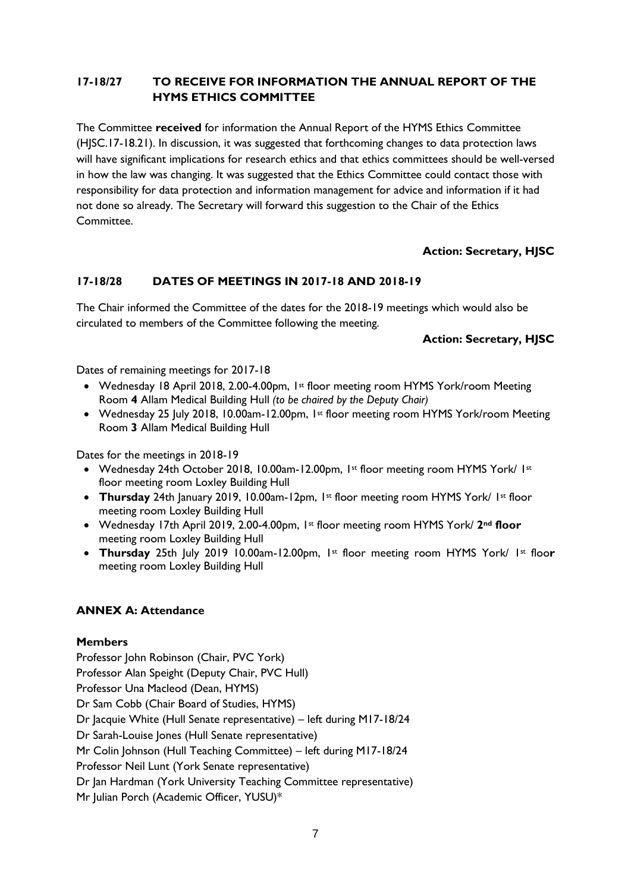# **17-18/27 TO RECEIVE FOR INFORMATION THE ANNUAL REPORT OF THE HYMS ETHICS COMMITTEE**

The Committee **received** for information the Annual Report of the HYMS Ethics Committee (HJSC.17-18.21). In discussion, it was suggested that forthcoming changes to data protection laws will have significant implications for research ethics and that ethics committees should be well-versed in how the law was changing. It was suggested that the Ethics Committee could contact those with responsibility for data protection and information management for advice and information if it had not done so already. The Secretary will forward this suggestion to the Chair of the Ethics Committee.

# **Action: Secretary, HJSC**

## **17-18/28 DATES OF MEETINGS IN 2017-18 AND 2018-19**

The Chair informed the Committee of the dates for the 2018-19 meetings which would also be circulated to members of the Committee following the meeting.

### **Action: Secretary, HJSC**

Dates of remaining meetings for 2017-18

- Wednesday 18 April 2018, 2.00-4.00pm, 1st floor meeting room HYMS York/room Meeting Room **4** Allam Medical Building Hull *(to be chaired by the Deputy Chair)*
- Wednesday 25 July 2018, 10.00am-12.00pm, 1st floor meeting room HYMS York/room Meeting Room **3** Allam Medical Building Hull

Dates for the meetings in 2018-19

- Wednesday 24th October 2018, 10.00am-12.00pm, 1st floor meeting room HYMS York/ 1st floor meeting room Loxley Building Hull
- **Thursday** 24th January 2019, 10.00am-12pm, 1<sup>st</sup> floor meeting room HYMS York/ 1st floor meeting room Loxley Building Hull
- Wednesday 17th April 2019, 2.00-4.00pm, 1st floor meeting room HYMS York/ **2nd floor** meeting room Loxley Building Hull
- **Thursday** 25th July 2019 10.00am-12.00pm, 1st floor meeting room HYMS York/ 1st floo**r** meeting room Loxley Building Hull

### **ANNEX A: Attendance**

### **Members**

Professor John Robinson (Chair, PVC York) Professor Alan Speight (Deputy Chair, PVC Hull) Professor Una Macleod (Dean, HYMS) Dr Sam Cobb (Chair Board of Studies, HYMS) Dr Jacquie White (Hull Senate representative) – left during M17-18/24 Dr Sarah-Louise Jones (Hull Senate representative) Mr Colin Johnson (Hull Teaching Committee) – left during M17-18/24 Professor Neil Lunt (York Senate representative) Dr Jan Hardman (York University Teaching Committee representative) Mr Julian Porch (Academic Officer, YUSU)\*